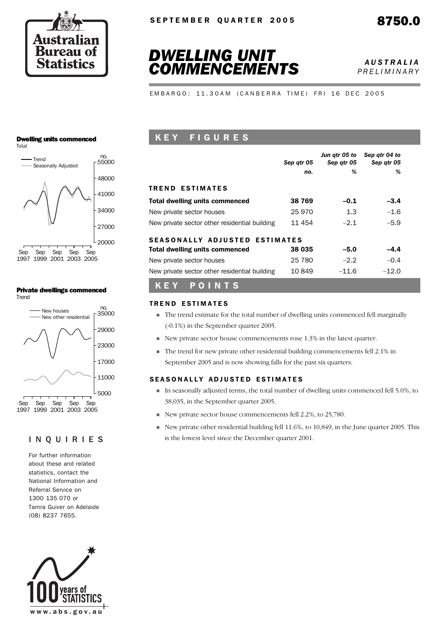



*PRELIMINARY*

EMBARGO: 11.30AM (CANBERRA TIME) FRI 16 DEC 2005

#### Dwelling units commenced Total



#### Private dwellings commenced **Trend**



## INQUIRIES

For further information about these and related statistics, contact the National Information and Referral Service on 1300 135 070 or Tamra Guiver on Adelaide (08) 8237 7655.



# K E Y F I G U R E S

|                                               | Sep atr 05 | Jun gtr 05 to<br>Sep atr 05 | Sep qtr 04 to<br>Sep atr 05 |
|-----------------------------------------------|------------|-----------------------------|-----------------------------|
|                                               | no.        | %                           | %                           |
| <b>TREND ESTIMATES</b>                        |            |                             |                             |
| <b>Total dwelling units commenced</b>         | 38 769     | $-0.1$                      | $-3.4$                      |
| New private sector houses                     | 25 970     | 1.3                         | $-1.6$                      |
| New private sector other residential building | 11 454     | $-2.1$                      | $-5.9$                      |
| <b>SEASONALLY ADJUSTED ESTIMATES</b>          |            |                             |                             |
| <b>Total dwelling units commenced</b>         | 38 035     | $-5.0$                      | $-4.4$                      |
| New private sector houses                     | 25 780     | $-2.2$                      | $-0.4$                      |
| New private sector other residential building | 10849      | $-11.6$                     | $-12.0$                     |

## K E Y P O I N T S

#### **TREND ESTIMATES**

- ! The trend estimate for the total number of dwelling units commenced fell marginally (-0.1%) in the September quarter 2005.
- ! New private sector house commencements rose 1.3% in the latest quarter.
- ! The trend for new private other residential building commencements fell 2.1% in September 2005 and is now showing falls for the past six quarters.

#### SEASONALLY ADJUSTED ESTIMATES

- ! In seasonally adjusted terms, the total number of dwelling units commenced fell 5.0%, to 38,035, in the September quarter 2005.
- ! New private sector house commencements fell 2.2%, to 25,780.
- $\blacksquare$  New private other residential building fell 11.6%, to 10,849, in the June quarter 2005. This is the lowest level since the December quarter 2001.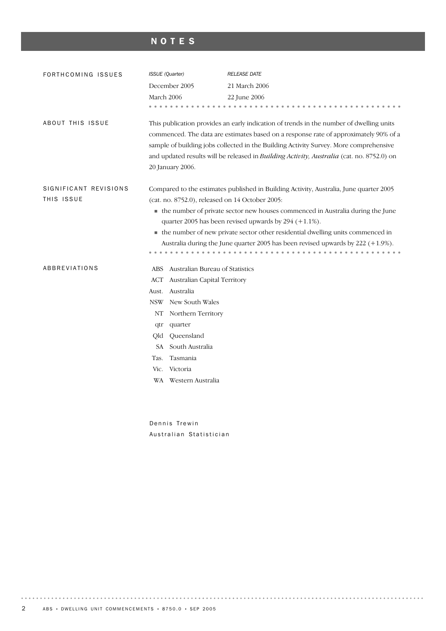# NOTES

| FORTHCOMING ISSUES      | <b>ISSUE</b> (Quarter)                                                                                                                        |                                 | <b>RELEASE DATE</b>                                                                                                                                                                                                                                                                                                                                                                  |  |  |  |  |  |
|-------------------------|-----------------------------------------------------------------------------------------------------------------------------------------------|---------------------------------|--------------------------------------------------------------------------------------------------------------------------------------------------------------------------------------------------------------------------------------------------------------------------------------------------------------------------------------------------------------------------------------|--|--|--|--|--|
|                         |                                                                                                                                               | December 2005                   | 21 March 2006                                                                                                                                                                                                                                                                                                                                                                        |  |  |  |  |  |
|                         | March 2006                                                                                                                                    |                                 | 22 June 2006                                                                                                                                                                                                                                                                                                                                                                         |  |  |  |  |  |
|                         |                                                                                                                                               |                                 |                                                                                                                                                                                                                                                                                                                                                                                      |  |  |  |  |  |
| <b>ABOUT THIS ISSUE</b> |                                                                                                                                               | 20 January 2006.                | This publication provides an early indication of trends in the number of dwelling units<br>commenced. The data are estimates based on a response rate of approximately 90% of a<br>sample of building jobs collected in the Building Activity Survey. More comprehensive<br>and updated results will be released in <i>Building Activity</i> , <i>Australia</i> (cat. no. 8752.0) on |  |  |  |  |  |
| SIGNIFICANT REVISIONS   |                                                                                                                                               |                                 | Compared to the estimates published in Building Activity, Australia, June quarter 2005                                                                                                                                                                                                                                                                                               |  |  |  |  |  |
| THIS ISSUE              | (cat. no. 8752.0), released on 14 October 2005:                                                                                               |                                 |                                                                                                                                                                                                                                                                                                                                                                                      |  |  |  |  |  |
|                         | • the number of private sector new houses commenced in Australia during the June<br>quarter 2005 has been revised upwards by $294 (+1.1\%)$ . |                                 |                                                                                                                                                                                                                                                                                                                                                                                      |  |  |  |  |  |
|                         |                                                                                                                                               |                                 | • the number of new private sector other residential dwelling units commenced in                                                                                                                                                                                                                                                                                                     |  |  |  |  |  |
|                         | Australia during the June quarter 2005 has been revised upwards by 222 (+1.9%).                                                               |                                 |                                                                                                                                                                                                                                                                                                                                                                                      |  |  |  |  |  |
|                         |                                                                                                                                               |                                 |                                                                                                                                                                                                                                                                                                                                                                                      |  |  |  |  |  |
| <b>ABBREVIATIONS</b>    | ABS                                                                                                                                           | Australian Bureau of Statistics |                                                                                                                                                                                                                                                                                                                                                                                      |  |  |  |  |  |
|                         | ACT                                                                                                                                           | Australian Capital Territory    |                                                                                                                                                                                                                                                                                                                                                                                      |  |  |  |  |  |
|                         | Aust.                                                                                                                                         | Australia                       |                                                                                                                                                                                                                                                                                                                                                                                      |  |  |  |  |  |
|                         | <b>NSW</b>                                                                                                                                    | New South Wales                 |                                                                                                                                                                                                                                                                                                                                                                                      |  |  |  |  |  |
|                         | NT                                                                                                                                            | Northern Territory              |                                                                                                                                                                                                                                                                                                                                                                                      |  |  |  |  |  |
|                         | qtr                                                                                                                                           | quarter                         |                                                                                                                                                                                                                                                                                                                                                                                      |  |  |  |  |  |
|                         | Qld                                                                                                                                           | Queensland                      |                                                                                                                                                                                                                                                                                                                                                                                      |  |  |  |  |  |
|                         | SA                                                                                                                                            | South Australia                 |                                                                                                                                                                                                                                                                                                                                                                                      |  |  |  |  |  |
|                         | Tas.                                                                                                                                          | Tasmania                        |                                                                                                                                                                                                                                                                                                                                                                                      |  |  |  |  |  |
|                         | Vic.<br>Victoria                                                                                                                              |                                 |                                                                                                                                                                                                                                                                                                                                                                                      |  |  |  |  |  |
|                         |                                                                                                                                               | WA Western Australia            |                                                                                                                                                                                                                                                                                                                                                                                      |  |  |  |  |  |
|                         |                                                                                                                                               |                                 |                                                                                                                                                                                                                                                                                                                                                                                      |  |  |  |  |  |
|                         |                                                                                                                                               |                                 |                                                                                                                                                                                                                                                                                                                                                                                      |  |  |  |  |  |

Dennis Trewin Australian Statistician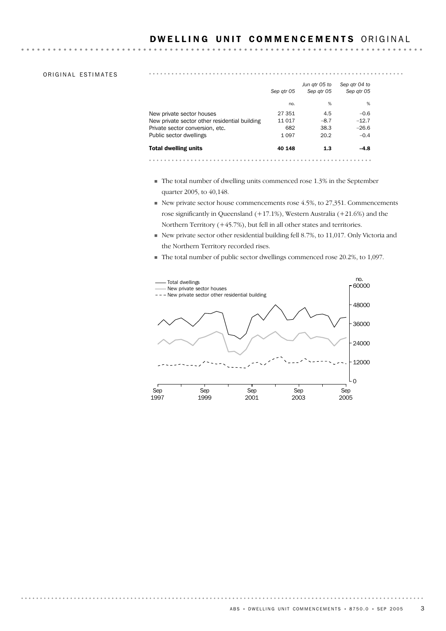#### DWELLING UNIT COMMENCEMENTS ORIGINAL

. . . . . . . . . . . . . . . . . .

#### ORIGINAL ESTIMATES

|                                               | Sep atr 05 | Jun qtr 05 to<br>Sep atr 05 | Sep atr 04 to<br>Sep atr 05 |  |
|-----------------------------------------------|------------|-----------------------------|-----------------------------|--|
|                                               | no.        | %                           | %                           |  |
| New private sector houses                     | 27 351     | 4.5                         | $-0.6$                      |  |
| New private sector other residential building | 11 017     | $-8.7$                      | $-12.7$                     |  |
| Private sector conversion, etc.               | 682        | 38.3                        | $-26.6$                     |  |
| Public sector dwellings                       | 1 0 9 7    | 20.2                        | $-0.4$                      |  |
| <b>Total dwelling units</b>                   | 40 148     | 1.3                         | $-4.8$                      |  |
|                                               |            |                             |                             |  |

- ! The total number of dwelling units commenced rose 1.3% in the September quarter 2005, to 40,148.
- $\blacksquare$  New private sector house commencements rose 4.5%, to 27,351. Commencements rose significantly in Queensland (+17.1%), Western Australia (+21.6%) and the Northern Territory (+45.7%), but fell in all other states and territories.
- ! New private sector other residential building fell 8.7%, to 11,017. Only Victoria and the Northern Territory recorded rises.
- ! The total number of public sector dwellings commenced rose 20.2%, to 1,097.

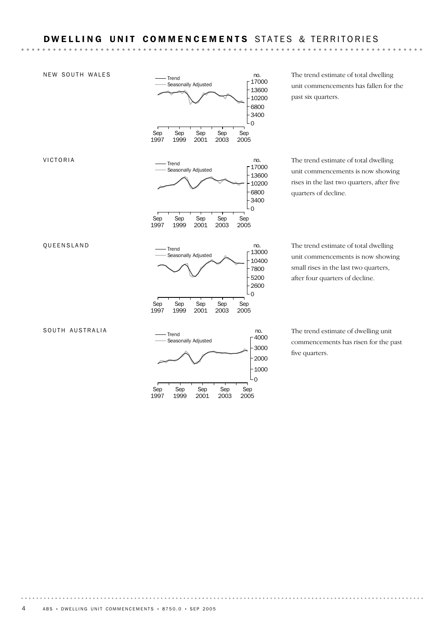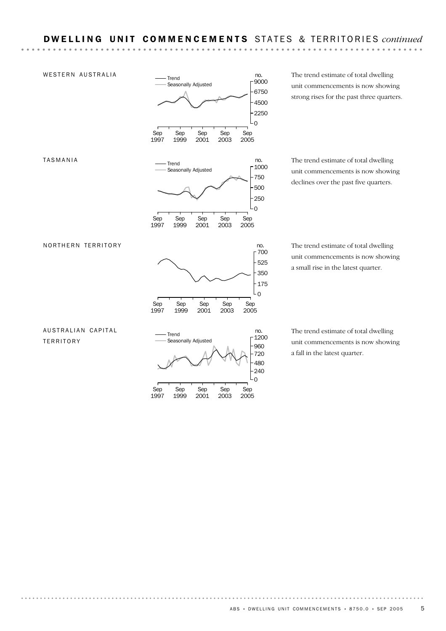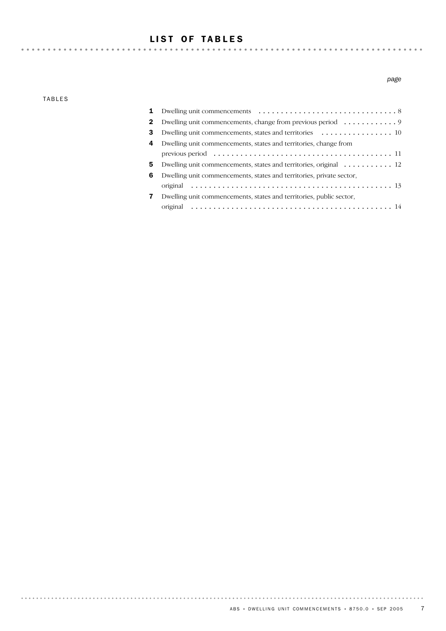# LIST OF TABLES

TABLES

#### *page*

| 1  |                                                                                                 |
|----|-------------------------------------------------------------------------------------------------|
| 2  |                                                                                                 |
| 3  | Dwelling unit commencements, states and territories $\dots \dots \dots \dots \dots \dots \dots$ |
| 4  | Dwelling unit commencements, states and territories, change from                                |
|    |                                                                                                 |
| 5. | Dwelling unit commencements, states and territories, original $\dots \dots \dots \dots$         |
| 6  | Dwelling unit commencements, states and territories, private sector,                            |
|    |                                                                                                 |
| 7  | Dwelling unit commencements, states and territories, public sector,                             |
|    |                                                                                                 |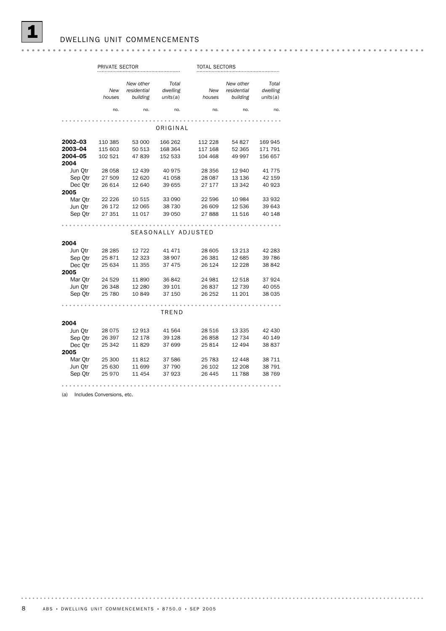|                                       | PRIVATE SECTOR                |                                      |                               |                               | <b>TOTAL SECTORS</b>                 |                               |  |  |
|---------------------------------------|-------------------------------|--------------------------------------|-------------------------------|-------------------------------|--------------------------------------|-------------------------------|--|--|
|                                       | New<br>houses                 | New other<br>residential<br>building | Total<br>dwelling<br>units(a) | New<br>houses                 | New other<br>residential<br>building | Total<br>dwelling<br>units(a) |  |  |
|                                       | no.                           | no.                                  | no.                           | no.                           | no.                                  | no.                           |  |  |
|                                       |                               |                                      | ORIGINAL                      |                               |                                      |                               |  |  |
| 2002-03<br>2003-04<br>2004-05<br>2004 | 110 385<br>115 603<br>102 521 | 53 000<br>50 513<br>47839            | 166 262<br>168 364<br>152 533 | 112 228<br>117 168<br>104 468 | 54 827<br>52 365<br>49 997           | 169 945<br>171 791<br>156 657 |  |  |
| Jun Otr<br>Sep Qtr<br>Dec Otr         | 28 058<br>27 509<br>26 614    | 12 439<br>12 620<br>12 640           | 40 975<br>41 058<br>39 655    | 28 356<br>28 087<br>27 177    | 12 940<br>13 136<br>13 342           | 41 775<br>42 159<br>40 923    |  |  |
| 2005<br>Mar Otr<br>Jun Otr<br>Sep Qtr | 22 2 2 6<br>26 172<br>27 351  | 10 515<br>12 065<br>11 017           | 33 090<br>38 730<br>39 050    | 22 596<br>26 609<br>27888     | 10 984<br>12 536<br>11 516           | 33 932<br>39 643<br>40 148    |  |  |
|                                       |                               |                                      | SEASONALLY ADJUSTED           |                               |                                      |                               |  |  |
| 2004                                  |                               |                                      |                               |                               |                                      |                               |  |  |
| Jun Otr<br>Sep Otr<br>Dec Qtr         | 28 2 85<br>25871<br>25 634    | 12 7 22<br>12 3 23<br>11 355         | 41 471<br>38 907<br>37 475    | 28 605<br>26 381<br>26 124    | 13 213<br>12 685<br>12 2 28          | 42 283<br>39 786<br>38 842    |  |  |
| 2005<br>Mar Otr<br>Jun Otr<br>Sep Qtr | 24 529<br>26 348<br>25 780    | 11890<br>12 280<br>10849             | 36842<br>39 101<br>37 150     | 24 981<br>26 837<br>26 25 2   | 12 5 18<br>12 739<br>11 201          | 37924<br>40 055<br>38 035     |  |  |
|                                       |                               |                                      | TREND                         |                               |                                      |                               |  |  |
| 2004                                  |                               |                                      |                               |                               |                                      |                               |  |  |
| Jun Otr<br>Sep Qtr<br>Dec Otr         | 28 0 75<br>26 397<br>25 342   | 12 913<br>12 178<br>11829            | 41 564<br>39 1 28<br>37 699   | 28 516<br>26858<br>25 814     | 13 3 35<br>12 734<br>12 4 94         | 42 430<br>40 149<br>38 837    |  |  |
| 2005<br>Mar Qtr<br>Jun Otr<br>Sep Qtr | 25 300<br>25 630<br>25 970    | 11812<br>11 699<br>11 454            | 37 586<br>37 790<br>37923     | 25 783<br>26 102<br>26 445    | 12 448<br>12 208<br>11 788           | 38 711<br>38 791<br>38 769    |  |  |
|                                       |                               |                                      |                               |                               |                                      |                               |  |  |

(a) Includes Conversions, etc.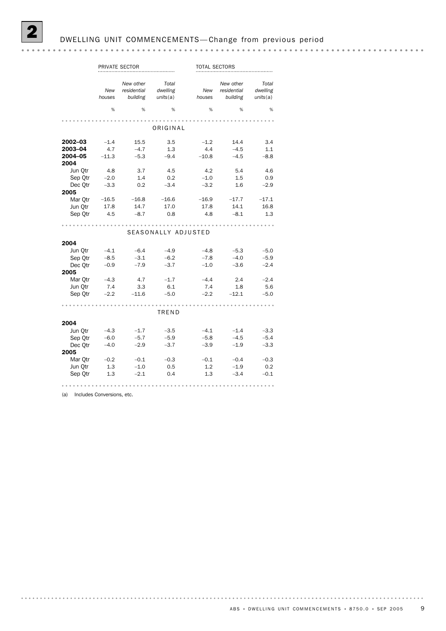|                    |               | PRIVATE SECTOR                       |                               | <b>TOTAL SECTORS</b> |                                      |                               |
|--------------------|---------------|--------------------------------------|-------------------------------|----------------------|--------------------------------------|-------------------------------|
|                    | New<br>houses | New other<br>residential<br>building | Total<br>dwelling<br>units(a) | New<br>houses        | New other<br>residential<br>building | Total<br>dwelling<br>units(a) |
|                    | %             | %                                    | %                             | %                    | %                                    | %                             |
|                    |               |                                      |                               |                      |                                      |                               |
|                    |               |                                      | ORIGINAL                      |                      |                                      |                               |
| $2002 - 03$        | $-1.4$        | 15.5                                 | 3.5                           | $-1.2$               | 14.4                                 | 3.4                           |
| 2003-04            | 4.7           | $-4.7$                               | 1.3                           | 4.4                  | $-4.5$                               | 1.1                           |
| 2004-05<br>2004    | $-11.3$       | $-5.3$                               | $-9.4$                        | $-10.8$              | $-4.5$                               | $-8.8$                        |
| Jun Qtr            | 4.8           | 3.7                                  | 4.5                           | 4.2                  | 5.4                                  | 4.6                           |
| Sep Otr            | $-2.0$        | 1.4                                  | 0.2                           | $-1.0$               | 1.5                                  | 0.9                           |
| Dec Qtr            | $-3.3$        | 0.2                                  | $-3.4$                        | $-3.2$               | 1.6                                  | $-2.9$                        |
| 2005               |               |                                      |                               |                      |                                      |                               |
| Mar Qtr            |               | $-16.5$ $-16.8$                      | $-16.6$                       |                      | $-16.9$ $-17.7$                      | $-17.1$                       |
| Jun Qtr            | 17.8          | 14.7                                 | 17.0                          | 17.8                 | 14.1                                 | 16.8                          |
| Sep Otr            | 4.5           | $-8.7$                               | 0.8                           | 4.8                  | $-8.1$                               | 1.3                           |
|                    |               |                                      | SEASONALLY ADJUSTED           |                      |                                      |                               |
|                    |               |                                      |                               |                      |                                      |                               |
| 2004               | $-4.1$        | $-6.4$                               | $-4.9$                        | $-4.8$               | $-5.3$                               | $-5.0$                        |
| Jun Qtr<br>Sep Qtr | $-8.5$        | $-3.1$                               | $-6.2$                        | $-7.8$               | $-4.0$                               | $-5.9$                        |
| Dec Qtr            | $-0.9$        | $-7.9$                               | $-3.7$                        | $-1.0$               | $-3.6$                               | $-2.4$                        |
| 2005               |               |                                      |                               |                      |                                      |                               |
| Mar Otr            | $-4.3$        | 4.7                                  | $-1.7$                        | $-4.4$               | 2.4                                  | $-2.4$                        |
| Jun Qtr            | 7.4           | 3.3                                  | 6.1                           | 7.4                  | 1.8                                  | 5.6                           |
| Sep Otr            | $-2.2$        | $-11.6$                              | $-5.0$                        | $-2.2$               | $-12.1$                              | $-5.0$                        |
|                    |               |                                      |                               |                      |                                      |                               |
|                    |               |                                      | TREND                         |                      |                                      |                               |
| 2004               |               |                                      |                               |                      |                                      |                               |
| Jun Qtr            | $-4.3$        | $-1.7$                               | $-3.5$                        | $-4.1$               | $-1.4$                               | $-3.3$                        |
| Sep Otr            | $-6.0$        | $-5.7$                               | $-5.9$                        | $-5.8$               | $-4.5$                               | $-5.4$                        |

Sep Qtr 1.3 –2.1 0.4 1.3 –3.4 –0.1 Jun Qtr 1.3 –1.0 0.5 1.2 –1.9 0.2 Mar Qtr –0.2 –0.1 –0.3 –0.1 –0.4 –0.3

Dec Qtr –4.0 –2.9 –3.7 –3.9 –1.9 –3.3

(a) Includes Conversions, etc.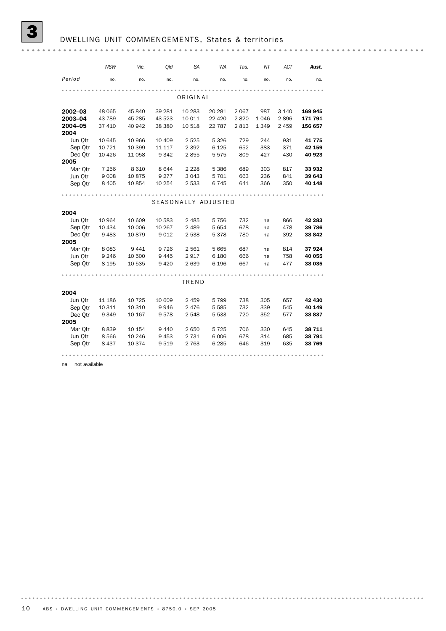|                 | <b>NSW</b> | Vic.    | Qld     | <b>SA</b>           | WA      | Tas.    | NΤ      | <b>ACT</b> | Aust.   |
|-----------------|------------|---------|---------|---------------------|---------|---------|---------|------------|---------|
| Period          | no.        | no.     | no.     | no.                 | no.     | no.     | no.     | no.        | no.     |
|                 |            |         |         |                     |         |         |         |            |         |
|                 |            |         |         | ORIGINAL            |         |         |         |            |         |
| 2002-03         | 48 065     | 45 840  | 39 281  | 10 283              | 20 281  | 2 0 6 7 | 987     | 3 1 4 0    | 169 945 |
| 2003-04         | 43 789     | 45 285  | 43 523  | 10 011              | 22 4 20 | 2820    | 1046    | 2896       | 171 791 |
| 2004-05<br>2004 | 37 410     | 40 942  | 38 380  | 10 518              | 22 787  | 2813    | 1 3 4 9 | 2 459      | 156 657 |
| Jun Qtr         | 10 645     | 10 966  | 10 409  | 2 5 2 5             | 5 3 2 6 | 729     | 244     | 931        | 41775   |
| Sep Otr         | 10 721     | 10 399  | 11 117  | 2 3 9 2             | 6 1 2 5 | 652     | 383     | 371        | 42 159  |
| Dec Otr         | 10 4 26    | 11 058  | 9 3 4 2 | 2855                | 5575    | 809     | 427     | 430        | 40 923  |
| 2005            |            |         |         |                     |         |         |         |            |         |
| Mar Otr         | 7 2 5 6    | 8610    | 8644    | 2 2 2 8             | 5 3 8 6 | 689     | 303     | 817        | 33 932  |
| Jun Otr         | 9 0 0 8    | 10875   | 9 2 7 7 | 3 0 4 3             | 5 7 0 1 | 663     | 236     | 841        | 39 643  |
| Sep Qtr         | 8 4 0 5    | 10 854  | 10 254  | 2 5 3 3             | 6745    | 641     | 366     | 350        | 40 148  |
|                 |            |         |         |                     |         |         |         |            |         |
|                 |            |         |         | SEASONALLY ADJUSTED |         |         |         |            |         |
|                 |            |         |         |                     |         |         |         |            |         |
| 2004            |            |         |         |                     |         |         |         |            |         |
| Jun Otr         | 10 964     | 10 609  | 10 583  | 2 4 8 5             | 5756    | 732     | na      | 866        | 42 283  |
| Sep Qtr         | 10 4 34    | 10 006  | 10 267  | 2 4 8 9             | 5 6 5 4 | 678     | na      | 478        | 39 786  |
| Dec Otr         | 9483       | 10879   | 9012    | 2 5 3 8             | 5378    | 780     | na      | 392        | 38 842  |
| 2005            |            |         |         |                     |         |         |         |            |         |
| Mar Otr         | 8 0 8 3    | 9441    | 9726    | 2 5 6 1             | 5 6 6 5 | 687     | na      | 814        | 37924   |
| Jun Otr         | 9 2 4 6    | 10 500  | 9445    | 2917                | 6 1 8 0 | 666     | na      | 758        | 40 055  |
| Sep Qtr         | 8 1 9 5    | 10 535  | 9 4 2 0 | 2639                | 6 1 9 6 | 667     | na      | 477        | 38 035  |
|                 |            |         |         |                     |         |         |         |            |         |
|                 |            |         |         | TREND               |         |         |         |            |         |
| 2004            |            |         |         |                     |         |         |         |            |         |
| Jun Otr         | 11 186     | 10 7 25 | 10 609  | 2 4 5 9             | 5799    | 738     | 305     | 657        | 42 430  |
| Sep Qtr         | 10 311     | 10 310  | 9946    | 2476                | 5 5 8 5 | 732     | 339     | 545        | 40 149  |
| Dec Qtr         | 9 3 4 9    | 10 167  | 9578    | 2 5 4 8             | 5 5 3 3 | 720     | 352     | 577        | 38 837  |
| 2005            |            |         |         |                     |         |         |         |            |         |
| Mar Otr         | 8839       | 10 154  | 9440    | 2650                | 5 7 2 5 | 706     | 330     | 645        | 38 711  |
| Jun Otr         | 8566       | 10 246  | 9453    | 2 7 3 1             | 6 0 0 6 | 678     | 314     | 685        | 38 791  |
| Sep Qtr         | 8 4 3 7    | 10 374  | 9519    | 2 7 6 3             | 6 2 8 5 | 646     | 319     | 635        | 38 769  |
|                 |            |         |         |                     |         |         |         |            |         |

na not available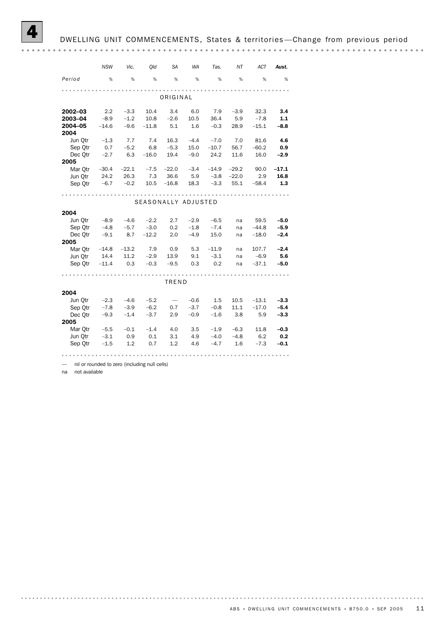# DWELLING UNIT COMMENCEMENTS, States & territories-Change from previous period

|                                                                                                                                                                                                                                                                                                                                                                                                                                                                                                                                                                                                                                                                                                                                                                                                                                      | <b>NSW</b> | Vic.    | Qld     | SА      | WA     | Tas.    | ΝT      | ACT     | Aust.   |
|--------------------------------------------------------------------------------------------------------------------------------------------------------------------------------------------------------------------------------------------------------------------------------------------------------------------------------------------------------------------------------------------------------------------------------------------------------------------------------------------------------------------------------------------------------------------------------------------------------------------------------------------------------------------------------------------------------------------------------------------------------------------------------------------------------------------------------------|------------|---------|---------|---------|--------|---------|---------|---------|---------|
| Period                                                                                                                                                                                                                                                                                                                                                                                                                                                                                                                                                                                                                                                                                                                                                                                                                               | %          | %       | %       | %       | %      | %       | %       | %       | %       |
|                                                                                                                                                                                                                                                                                                                                                                                                                                                                                                                                                                                                                                                                                                                                                                                                                                      |            |         |         |         |        |         |         |         |         |
|                                                                                                                                                                                                                                                                                                                                                                                                                                                                                                                                                                                                                                                                                                                                                                                                                                      |            |         |         |         |        |         |         |         |         |
| 2002-03                                                                                                                                                                                                                                                                                                                                                                                                                                                                                                                                                                                                                                                                                                                                                                                                                              | 2.2        | $-3.3$  | 10.4    | 3.4     | 6.0    | 7.9     | $-3.9$  | 32.3    | 3.4     |
| 2003-04                                                                                                                                                                                                                                                                                                                                                                                                                                                                                                                                                                                                                                                                                                                                                                                                                              | $-8.9$     | $-1.2$  | 10.8    | $-2.6$  | 10.5   | 36.4    | 5.9     | $-7.8$  | 1.1     |
| 2004-05<br>2004                                                                                                                                                                                                                                                                                                                                                                                                                                                                                                                                                                                                                                                                                                                                                                                                                      | $-14.6$    | $-9.6$  | $-11.8$ | 5.1     | 1.6    | $-0.3$  | 28.9    | $-15.1$ | $-8.8$  |
| Jun Otr                                                                                                                                                                                                                                                                                                                                                                                                                                                                                                                                                                                                                                                                                                                                                                                                                              | $-1.3$     | 7.7     | 7.4     | 16.3    | $-4.4$ | $-7.0$  | 7.0     | 81.6    | 4.6     |
| Sep Otr                                                                                                                                                                                                                                                                                                                                                                                                                                                                                                                                                                                                                                                                                                                                                                                                                              | 0.7        | $-5.2$  | 6.8     | $-5.3$  | 15.0   | $-10.7$ | 56.7    | $-60.2$ | 0.9     |
| Dec Otr                                                                                                                                                                                                                                                                                                                                                                                                                                                                                                                                                                                                                                                                                                                                                                                                                              | $-2.7$     | 6.3     | $-16.0$ | 19.4    | $-9.0$ | 24.2    | 11.6    | 16.0    | $-2.9$  |
| 2005                                                                                                                                                                                                                                                                                                                                                                                                                                                                                                                                                                                                                                                                                                                                                                                                                                 |            |         |         |         |        |         |         |         |         |
| Mar Otr                                                                                                                                                                                                                                                                                                                                                                                                                                                                                                                                                                                                                                                                                                                                                                                                                              | $-30.4$    | $-22.1$ | $-7.5$  | $-22.0$ | $-3.4$ | $-14.9$ | $-29.2$ | 90.0    | $-17.1$ |
| Jun Otr                                                                                                                                                                                                                                                                                                                                                                                                                                                                                                                                                                                                                                                                                                                                                                                                                              | 24.2       |         | 7.3     | 36.6    | 5.9    |         | $-22.0$ |         | 16.8    |
| Sep Otr                                                                                                                                                                                                                                                                                                                                                                                                                                                                                                                                                                                                                                                                                                                                                                                                                              | $-6.7$     | $-0.2$  | 10.5    | $-16.8$ | 18.3   | $-3.3$  | 55.1    | $-58.4$ | 1.3     |
| ORIGINAL<br>26.3<br>$-3.8$<br>2.9<br>SEASONALLY ADJUSTED<br>2004<br>2.7<br>$-5.0$<br>Jun Otr<br>$-8.9$<br>$-4.6$<br>$-2.2$<br>$-2.9$<br>$-6.5$<br>59.5<br>na<br>Sep Otr<br>$-4.8$<br>$-3.0$<br>$-1.8$<br>$-7.4$<br>$-44.8$<br>$-5.9$<br>$-5.7$<br>0.2<br>na<br>Dec Otr<br>$-12.2$<br>2.0<br>$-4.9$<br>15.0<br>$-2.4$<br>$-9.1$<br>8.7<br>$-18.0$<br>na<br>2005<br>Mar Otr<br>$-13.2$<br>$-11.9$<br>$-14.8$<br>7.9<br>0.9<br>5.3<br>107.7<br>na<br>11.2<br>$-3.1$<br>Jun Otr<br>14.4<br>$-2.9$<br>13.9<br>9.1<br>$-6.9$<br>na<br>Sep Otr<br>0.3<br>0.2<br>$-11.4$<br>$-0.3$<br>$-9.5$<br>0.3<br>$-37.1$<br>na<br>TREND<br>2004<br>Jun Qtr<br>$-2.3$<br>$-4.6$<br>$-5.2$<br>$-0.6$<br>1.5<br>10.5<br>$-13.1$<br>$\overbrace{\phantom{1232211}}$<br>Sep Otr<br>$-7.8$<br>$-3.9$<br>$-3.7$<br>$-17.0$<br>$-6.2$<br>0.7<br>$-0.8$<br>11.1 |            |         |         |         |        |         |         |         |         |
|                                                                                                                                                                                                                                                                                                                                                                                                                                                                                                                                                                                                                                                                                                                                                                                                                                      |            |         |         |         |        |         |         |         |         |
|                                                                                                                                                                                                                                                                                                                                                                                                                                                                                                                                                                                                                                                                                                                                                                                                                                      |            |         |         |         |        |         |         |         |         |
|                                                                                                                                                                                                                                                                                                                                                                                                                                                                                                                                                                                                                                                                                                                                                                                                                                      |            |         |         |         |        |         |         |         |         |
|                                                                                                                                                                                                                                                                                                                                                                                                                                                                                                                                                                                                                                                                                                                                                                                                                                      |            |         |         |         |        |         |         |         |         |
|                                                                                                                                                                                                                                                                                                                                                                                                                                                                                                                                                                                                                                                                                                                                                                                                                                      |            |         |         |         |        |         |         |         |         |
|                                                                                                                                                                                                                                                                                                                                                                                                                                                                                                                                                                                                                                                                                                                                                                                                                                      |            |         |         |         |        |         |         |         |         |
|                                                                                                                                                                                                                                                                                                                                                                                                                                                                                                                                                                                                                                                                                                                                                                                                                                      |            |         |         |         |        |         |         |         | $-2.4$  |
|                                                                                                                                                                                                                                                                                                                                                                                                                                                                                                                                                                                                                                                                                                                                                                                                                                      |            |         |         |         |        |         |         |         | 5.6     |
|                                                                                                                                                                                                                                                                                                                                                                                                                                                                                                                                                                                                                                                                                                                                                                                                                                      |            |         |         |         |        |         |         |         | $-5.0$  |
|                                                                                                                                                                                                                                                                                                                                                                                                                                                                                                                                                                                                                                                                                                                                                                                                                                      |            |         |         |         |        |         |         |         |         |
|                                                                                                                                                                                                                                                                                                                                                                                                                                                                                                                                                                                                                                                                                                                                                                                                                                      |            |         |         |         |        |         |         |         |         |
|                                                                                                                                                                                                                                                                                                                                                                                                                                                                                                                                                                                                                                                                                                                                                                                                                                      |            |         |         |         |        |         |         |         |         |
|                                                                                                                                                                                                                                                                                                                                                                                                                                                                                                                                                                                                                                                                                                                                                                                                                                      |            |         |         |         |        |         |         |         | $-3.3$  |
|                                                                                                                                                                                                                                                                                                                                                                                                                                                                                                                                                                                                                                                                                                                                                                                                                                      |            |         |         |         |        |         |         |         | $-5.4$  |
| Dec Otr<br>2005                                                                                                                                                                                                                                                                                                                                                                                                                                                                                                                                                                                                                                                                                                                                                                                                                      | $-9.3$     | $-1.4$  | $-3.7$  | 2.9     | $-0.9$ | $-1.6$  | 3.8     | 5.9     | $-3.3$  |
| Mar Otr                                                                                                                                                                                                                                                                                                                                                                                                                                                                                                                                                                                                                                                                                                                                                                                                                              | $-5.5$     | $-0.1$  | $-1.4$  | 4.0     | 3.5    | $-1.9$  | $-6.3$  | 11.8    | $-0.3$  |
| Jun Otr                                                                                                                                                                                                                                                                                                                                                                                                                                                                                                                                                                                                                                                                                                                                                                                                                              | $-3.1$     | 0.9     | 0.1     | 3.1     | 4.9    | $-4.0$  | $-4.8$  | 6.2     | 0.2     |
| Sep Otr                                                                                                                                                                                                                                                                                                                                                                                                                                                                                                                                                                                                                                                                                                                                                                                                                              | $-1.5$     | 1.2     | 0.7     | 1.2     | 4.6    | $-4.7$  | 1.6     | $-7.3$  | $-0.1$  |
|                                                                                                                                                                                                                                                                                                                                                                                                                                                                                                                                                                                                                                                                                                                                                                                                                                      |            |         |         |         |        |         |         |         |         |

— nil or rounded to zero (including null cells)

na not available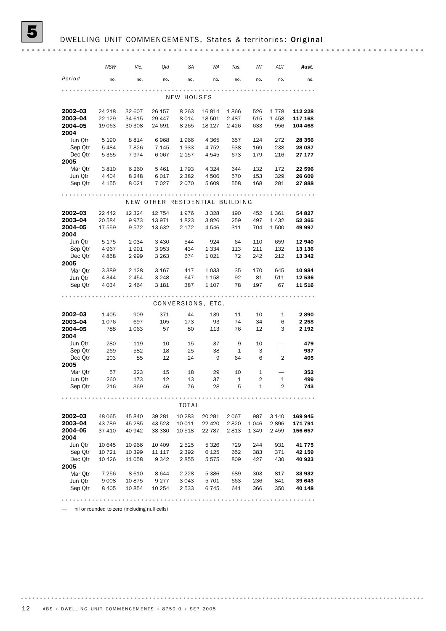|                    | NSW                | Vic.            | Qld                | SА                 | WA                             | Tas.       | ΝT         | ACT        | Aust.              |
|--------------------|--------------------|-----------------|--------------------|--------------------|--------------------------------|------------|------------|------------|--------------------|
| Period             | no.                | no.             | no.                | no.                | no.                            | no.        | no.        | no.        | no.                |
|                    |                    |                 |                    |                    |                                |            |            |            |                    |
|                    |                    |                 |                    | NEW HOUSES         |                                |            |            |            |                    |
| 2002-03            | 24 218             | 32 607          | 26 157             | 8 2 6 3            | 16 814                         | 1866       | 526        | 1778       | 112 228            |
| 2003-04            | 22 129             | 34 615          | 29 447             | 8014               | 18 501                         | 2487       | 515        | 1458       | 117 168            |
| 2004-05            | 19 063             | 30 308          | 24 691             | 8 2 6 5            | 18 127                         | 2426       | 633        | 956        | 104 468            |
| 2004               |                    |                 |                    |                    |                                |            |            |            |                    |
| Jun Qtr            | 5 1 9 0            | 8814            | 6968               | 1966               | 4 3 6 5                        | 657        | 124        | 272        | 28 356             |
| Sep Qtr            | 5 4 8 4            | 7826            | 7 1 4 5            | 1933               | 4 7 5 2                        | 538        | 169        | 238        | 28 087             |
| Dec Qtr<br>2005    | 5 3 6 5            | 7974            | 6 0 67             | 2 1 5 7            | 4 545                          | 673        | 179        | 216        | 27 177             |
| Mar Qtr            | 3810               | 6 2 6 0         | 5 4 6 1            | 1793               | 4 3 2 4                        | 644        | 132        | 172        | 22 596             |
| Jun Qtr            | 4 4 0 4            | 8 2 4 8         | 6017               | 2 3 8 2            | 4 506                          | 570        | 153        | 329        | 26 609             |
| Sep Qtr            | 4 1 5 5            | 8 0 2 1         | 7 0 2 7            | 2070               | 5 609                          | 558        | 168        | 281        | 27888              |
|                    |                    |                 |                    |                    |                                |            |            |            |                    |
|                    |                    |                 |                    |                    | NEW OTHER RESIDENTIAL BUILDING |            |            |            |                    |
| 2002-03            | 22 442             | 12 3 24         | 12 754             | 1976               | 3 3 2 8                        | 190        | 452        | 1 3 6 1    | 54 827             |
| 2003-04            | 20 584             | 9973            | 13 971             | 1823               | 3826                           | 259        | 497        | 1432       | 52 365             |
| 2004-05            | 17 559             | 9572            | 13 632             | 2 1 7 2            | 4546                           | 311        | 704        | 1500       | 49 997             |
| 2004<br>Jun Qtr    | 5 1 7 5            | 2 0 3 4         | 3 4 3 0            | 544                | 924                            | 64         | 110        | 659        | 12940              |
| Sep Qtr            | 4 9 6 7            | 1991            | 3953               | 434                | 1 3 3 4                        | 113        | 211        | 132        | 13 136             |
| Dec Qtr            | 4858               | 2999            | 3 2 6 3            | 674                | 1 0 2 1                        | 72         | 242        | 212        | 13 342             |
| 2005               |                    |                 |                    |                    |                                |            |            |            |                    |
| Mar Qtr            | 3 3 8 9            | 2 1 2 8         | 3 1 6 7            | 417                | 1 0 3 3                        | 35         | 170        | 645        | 10 984             |
| Jun Qtr            | 4 3 4 4            | 2 4 5 4         | 3 2 4 8            | 647                | 1 158                          | 92         | 81         | 511        | 12 536             |
| Sep Qtr            | 4 0 3 4            | 2 4 6 4         | 3 1 8 1            | 387                | 1 107                          | 78         | 197        | 67         | 11 516             |
|                    |                    |                 |                    |                    |                                |            |            |            |                    |
|                    |                    |                 |                    |                    | CONVERSIONS, ETC.              |            |            |            |                    |
| 2002-03            | 1 4 0 5            | 909             | 371                | 44                 | 139                            | 11         | 10         | 1          | 2890               |
| 2003-04<br>2004-05 | 1076<br>788        | 697<br>1 0 6 3  | 105<br>57          | 173<br>80          | 93<br>113                      | 74<br>76   | 34<br>12   | 6<br>3     | 2 2 5 8<br>2 1 9 2 |
| 2004               |                    |                 |                    |                    |                                |            |            |            |                    |
| Jun Qtr            | 280                | 119             | 10                 | 15                 | 37                             | 9          | 10         |            | 479                |
| Sep Qtr            | 269                | 582             | 18                 | 25                 | 38                             | 1          | 3          |            | 937                |
| Dec Qtr            | 203                | 85              | 12                 | 24                 | 9                              | 64         | 6          | 2          | 405                |
| 2005               |                    |                 |                    |                    |                                |            |            |            |                    |
| Mar Qtr            | 57                 | 223             | 15                 | 18                 | 29                             | 10         | 1          |            | 352                |
| Jun Qtr            | 260                | 173             | 12<br>46           | 13<br>76           | 37<br>28                       | 1<br>5     | 2<br>1     | 1<br>2     | 499                |
| Sep Qtr            | 216                | 369             |                    |                    |                                |            |            |            | 743                |
|                    |                    |                 |                    | <b>TOTAL</b>       |                                |            |            |            |                    |
| $2002 - 03$        | 48 065             | 45 840          | 39 281             | 10 283             | 20 281                         | 2 0 6 7    | 987        | 3 1 4 0    | 169 945            |
| 2003-04            | 43 789             | 45 285          | 43 523             | 10 011             | 22 4 20                        | 2820       | 1 0 4 6    | 2896       | 171 791            |
| 2004-05            | 37 410             | 40 942          | 38 380             | 10 518             | 22 787                         | 2813       | 1 3 4 9    | 2459       | 156 657            |
| 2004               |                    |                 |                    |                    |                                |            |            |            |                    |
| Jun Qtr            | 10 645             | 10 966          | 10 409             | 2 5 2 5            | 5 3 2 6                        | 729        | 244        | 931        | 41 775             |
| Sep Qtr            | 10 721             | 10 399          | 11 117             | 2 3 9 2            | 6 1 2 5                        | 652        | 383        | 371        | 42 159             |
| Dec Otr            | 10 4 26            | 11 058          | 9 3 4 2            | 2855               | 5575                           | 809        | 427        | 430        | 40 923             |
| 2005               |                    |                 |                    |                    |                                |            |            |            |                    |
| Mar Qtr            | 7 256              | 8610            | 8 6 4 4<br>9 2 7 7 | 2 2 2 8            | 5 3 8 6                        | 689        | 303        | 817        | 33 932             |
| Jun Qtr<br>Sep Qtr | 9 0 0 8<br>8 4 0 5 | 10875<br>10 854 | 10 254             | 3 0 4 3<br>2 5 3 3 | 5 7 0 1<br>6745                | 663<br>641 | 236<br>366 | 841<br>350 | 39 643<br>40 148   |
|                    |                    |                 |                    |                    |                                |            |            |            |                    |
|                    |                    |                 |                    |                    |                                |            |            |            |                    |

— nil or rounded to zero (including null cells)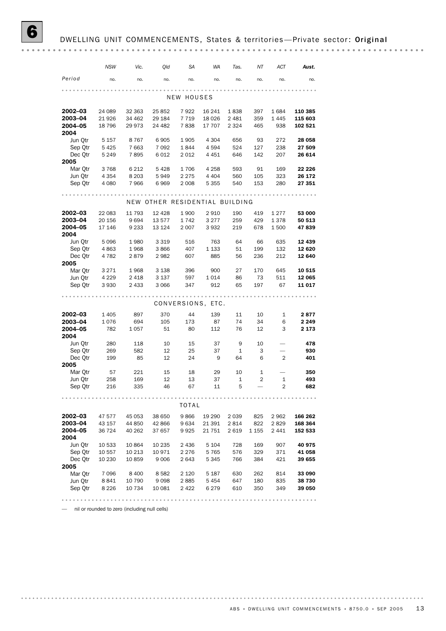|                    | NSW             | Vic.               | Qld                            | SА         | WA                | Tas.     | ΝT        | ACT            | Aust.            |
|--------------------|-----------------|--------------------|--------------------------------|------------|-------------------|----------|-----------|----------------|------------------|
| Period             | no.             | no.                | no.                            | no.        | no.               | no.      | no.       | no.            | no.              |
|                    |                 |                    |                                |            |                   |          |           |                |                  |
|                    |                 |                    |                                | NEW HOUSES |                   |          |           |                |                  |
| 2002-03            | 24 089          | 32 363             | 25 852                         | 7922       | 16 241            | 1838     | 397       | 1684           | 110 385          |
| 2003-04            | 21 9 26         | 34 462             | 29 184                         | 7719       | 18 0 26           | 2 4 8 1  | 359       | 1445           | 115 603          |
| 2004-05            | 18 796          | 29 973             | 24 482                         | 7838       | 17 707            | 2 3 2 4  | 465       | 938            | 102 521          |
| 2004<br>Jun Otr    | 5 1 5 7         | 8 7 6 7            | 6905                           | 1905       | 4 3 0 4           | 656      | 93        | 272            | 28 058           |
| Sep Qtr            | 5425            | 7 6 63             | 7 0 9 2                        | 1844       | 4 5 9 4           | 524      | 127       | 238            | 27 509           |
| Dec Qtr            | 5 2 4 9         | 7895               | 6012                           | 2 012      | 4 4 5 1           | 646      | 142       | 207            | 26 614           |
| 2005               |                 |                    |                                |            |                   |          |           |                |                  |
| Mar Qtr            | 3768            | 6 212              | 5428                           | 1706       | 4 2 5 8           | 593      | 91        | 169            | 22 226           |
| Jun Qtr            | 4 3 5 4         | 8 2 0 3            | 5949                           | 2 2 7 5    | 4 4 0 4           | 560      | 105       | 323            | 26 172           |
| Sep Qtr            | 4 0 8 0         | 7966               | 6969                           | 2 0 0 8    | 5 3 5 5           | 540      | 153       | 280            | 27 351           |
|                    |                 |                    |                                |            |                   |          |           |                |                  |
|                    |                 |                    | NEW OTHER RESIDENTIAL BUILDING |            |                   |          |           |                |                  |
| 2002-03            | 22 083          | 11 793             | 12 4 28                        | 1900       | 2910              | 190      | 419       | 1 2 7 7        | 53 000           |
| 2003-04            | 20 156          | 9694               | 13 577                         | 1742       | 3 2 7 7           | 259      | 429       | 1378           | 50 513           |
| 2004-05<br>2004    | 17 146          | 9 2 3 3            | 13 124                         | 2 0 0 7    | 3932              | 219      | 678       | 1500           | 47839            |
| Jun Qtr            | 5 0 9 6         | 1980               | 3 3 1 9                        | 516        | 763               | 64       | 66        | 635            | 12 439           |
| Sep Qtr            | 4863            | 1968               | 3866                           | 407        | 1 1 3 3           | 51       | 199       | 132            | 12 6 20          |
| Dec Qtr            | 4 7 8 2         | 2879               | 2982                           | 607        | 885               | 56       | 236       | 212            | 12 640           |
| 2005               |                 |                    |                                |            |                   |          |           |                |                  |
| Mar Qtr            | 3 2 7 1         | 1968               | 3 1 3 8                        | 396<br>597 | 900               | 27       | 170<br>73 | 645<br>511     | 10 515           |
| Jun Qtr<br>Sep Qtr | 4 2 2 9<br>3930 | 2 4 1 8<br>2 4 3 3 | 3 137<br>3 0 6 6               | 347        | 1014<br>912       | 86<br>65 | 197       | 67             | 12 065<br>11 017 |
|                    |                 |                    |                                |            |                   |          |           |                |                  |
|                    |                 |                    |                                |            | CONVERSIONS, ETC. |          |           |                |                  |
| 2002-03            | 1 4 0 5         | 897                | 370                            | 44         | 139               | 11       | 10        | $\mathbf{1}$   | 2877             |
| 2003-04            | 1076            | 694                | 105                            | 173        | 87                | 74       | 34        | 6              | 2 2 4 9          |
| 2004-05            | 782             | 1 0 5 7            | 51                             | 80         | 112               | 76       | 12        | 3              | 2 173            |
| 2004               |                 |                    |                                |            |                   |          |           |                |                  |
| Jun Qtr            | 280             | 118                | 10                             | 15         | 37                | 9        | 10        |                | 478              |
| Sep Qtr            | 269             | 582                | 12                             | 25         | 37                | 1        | 3         |                | 930              |
| Dec Qtr<br>2005    | 199             | 85                 | 12                             | 24         | 9                 | 64       | 6         | 2              | 401              |
| Mar Qtr            | 57              | 221                | 15                             | 18         | 29                | 10       | 1         |                | 350              |
| Jun Qtr            | 258             | 169                | 12                             | 13         | 37                | 1        | 2         | $\mathbf{1}$   | 493              |
| Sep Qtr            | 216             | 335                | 46                             | 67         | 11                | 5        |           | $\overline{2}$ | 682              |
|                    |                 |                    |                                |            |                   |          |           |                |                  |
|                    |                 |                    |                                | TOTAL      |                   |          |           |                |                  |
| 2002-03            | 47 577          | 45 053             | 38 650                         | 9866       | 19 290            | 2 0 3 9  | 825       | 2962           | 166 262          |
| 2003-04            | 43 157          | 44 850             | 42 866                         | 9634       | 21 391            | 2814     | 822       | 2829           | 168 364          |
| 2004-05            | 36 724          | 40 262             | 37 657                         | 9925       | 21 751            | 2619     | 1 1 5 5   | 2 4 4 1        | 152 533          |
| 2004<br>Jun Qtr    | 10 533          | 10 864             | 10 235                         | 2 4 3 6    | 5 1 0 4           | 728      | 169       | 907            | 40 975           |
| Sep Qtr            | 10 557          | 10 213             | 10 971                         | 2 2 7 6    | 5765              | 576      | 329       | 371            | 41 058           |
| Dec Otr            | 10 230          | 10859              | 9 0 0 6                        | 2643       | 5 3 4 5           | 766      | 384       | 421            | 39 655           |
| 2005               |                 |                    |                                |            |                   |          |           |                |                  |
| Mar Qtr            | 7096            | 8 4 0 0            | 8582                           | 2 1 2 0    | 5 1 8 7           | 630      | 262       | 814            | 33 090           |
| Jun Qtr            | 8841            | 10 790             | 9098                           | 2885       | 5454              | 647      | 180       | 835            | 38 730           |
| Sep Qtr            | 8 2 2 6         | 10 734             | 10 081                         | 2422       | 6 2 7 9           | 610      | 350       | 349            | 39 050           |
|                    |                 |                    |                                |            |                   |          |           |                |                  |

— nil or rounded to zero (including null cells)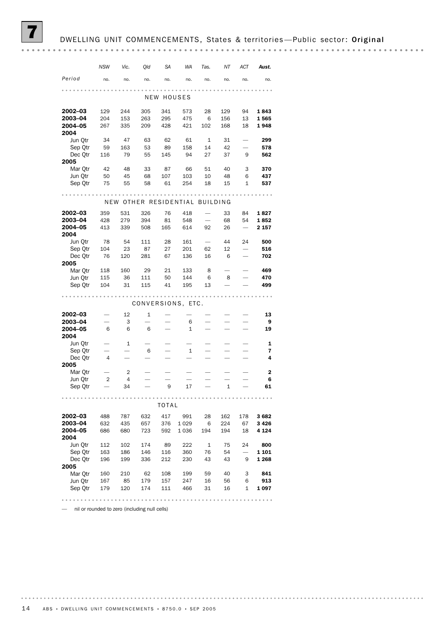# DWELLING UNIT COMMENCEMENTS, States & territories-Public sector: Original

|                    | NSW            | Vic.       | Qld        | SА           | WA                | Tas.                     | ΝT              | ACT                      | Aust.            |
|--------------------|----------------|------------|------------|--------------|-------------------|--------------------------|-----------------|--------------------------|------------------|
| Period             | no.            | no.        | no.        | no.          | no.               | no.                      | no.             | no.                      | no.              |
|                    |                |            |            | NEW HOUSES   |                   |                          |                 |                          |                  |
| 2002-03            | 129            | 244        | 305        | 341          | 573               | 28                       | 129             | 94                       | 1843             |
| 2003-04<br>2004-05 | 204<br>267     | 153<br>335 | 263<br>209 | 295<br>428   | 475<br>421        | 6<br>102                 | 156<br>168      | 13<br>18                 | 1565<br>1948     |
| 2004               |                |            |            |              |                   |                          |                 |                          |                  |
| Jun Qtr            | 34             | 47         | 63         | 62           | 61                | $\mathbf{1}$             | 31              |                          | 299              |
| Sep Otr<br>Dec Otr | 59<br>116      | 163<br>79  | 53<br>55   | 89<br>145    | 158<br>94         | 14<br>27                 | 42<br>37        | 9                        | 578<br>562       |
| 2005               |                |            |            |              |                   |                          |                 |                          |                  |
| Mar Qtr            | 42             | 48         | 33         | 87           | 66                | 51                       | 40              | 3                        | 370              |
| Jun Qtr<br>Sep Qtr | 50<br>75       | 45<br>55   | 68<br>58   | 107<br>61    | 103<br>254        | 10<br>18                 | 48<br>15        | 6<br>1                   | 437<br>537       |
|                    |                |            |            |              |                   |                          |                 |                          |                  |
|                    | NEW            |            |            |              | OTHER RESIDENTIAL |                          | <b>BUILDING</b> |                          |                  |
| 2002-03            | 359            | 531        | 326        | 76           | 418               |                          | 33              | 84                       | 1827             |
| 2003-04            | 428            | 279        | 394<br>508 | 81           | 548               | $\overline{\phantom{0}}$ | 68              | 54                       | 1852             |
| 2004-05<br>2004    | 413            | 339        |            | 165          | 614               | 92                       | 26              |                          | 2 157            |
| Jun Qtr            | 78             | 54         | 111        | 28           | 161               | $\overline{\phantom{0}}$ | 44              | 24                       | 500              |
| Sep Qtr            | 104            | 23         | 87         | 27           | 201               | 62                       | 12              |                          | 516              |
| Dec Otr<br>2005    | 76             | 120        | 281        | 67           | 136               | 16                       | 6               |                          | 702              |
| Mar Otr            | 118            | 160        | 29         | 21           | 133               | 8                        |                 |                          | 469              |
| Jun Qtr            | 115            | 36         | 111        | 50           | 144               | 6                        | 8               |                          | 470              |
| Sep Qtr            | 104            | 31         | 115        | 41           | 195               | 13                       |                 |                          | 499              |
|                    |                |            |            |              | CONVERSIONS, ETC. |                          |                 |                          |                  |
| 2002-03            |                | 12         | 1          |              |                   |                          |                 |                          | 13               |
| 2003-04            |                | 3          |            |              | 6                 |                          |                 |                          | 9                |
| 2004-05<br>2004    | 6              | 6          | 6          |              | $\mathbf{1}$      |                          |                 |                          | 19               |
| Jun Qtr            |                | 1          | 6          |              | 1                 |                          |                 |                          | 1<br>7           |
| Sep Qtr<br>Dec Qtr | $\overline{4}$ |            |            |              |                   |                          |                 |                          | 4                |
| 2005               |                |            |            |              |                   |                          |                 |                          |                  |
| Mar Otr<br>Jun Qtr | $\overline{2}$ | 2<br>4     |            |              |                   |                          |                 |                          | $\mathbf 2$<br>6 |
| Sep Qtr            |                | 34         |            | 9            | 17                |                          | 1               |                          | 61               |
|                    |                |            |            |              |                   |                          |                 |                          |                  |
|                    |                |            |            | <b>TOTAL</b> |                   |                          |                 |                          |                  |
| 2002-03<br>2003-04 | 488<br>632     | 787<br>435 | 632<br>657 | 417<br>376   | 991<br>1029       | 28<br>6                  | 162<br>224      | 178<br>67                | 3682<br>3 4 2 6  |
| 2004-05            | 686            | 680        | 723        | 592          | 1036              | 194                      | 194             | 18                       | 4 1 2 4          |
| 2004<br>Jun Qtr    | 112            | 102        | 174        | 89           | 222               | 1                        | 75              | 24                       | 800              |
| Sep Qtr            | 163            | 186        | 146        | 116          | 360               | 76                       | 54              | $\overline{\phantom{0}}$ | 1 1 0 1          |
| Dec Otr            | 196            | 199        | 336        | 212          | 230               | 43                       | 43              | 9                        | 1 2 6 8          |
| 2005<br>Mar Qtr    | 160            | 210        | 62         | 108          | 199               | 59                       | 40              | 3                        | 841              |
| Jun Qtr            | 167            | 85         | 179        | 157          | 247               | 16                       | 56              | 6                        | 913              |
| Sep Qtr            | 179            | 120        | 174        | 111          | 466               | 31                       | 16              | 1                        | 1 097            |
|                    |                |            |            |              |                   |                          |                 |                          |                  |

— nil or rounded to zero (including null cells)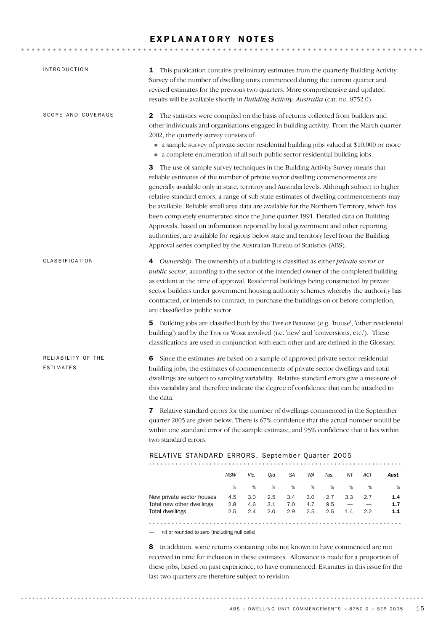# EXPLANATORY NOTES

| <b>INTRODUCTION</b>             |                                                                                                                                                                                                                                                                                                                                                                                                                                                                                                                                                                                                                                                                                                                                                                                                              | 1 This publication contains preliminary estimates from the quarterly Building Activity<br>Survey of the number of dwelling units commenced during the current quarter and<br>revised estimates for the previous two quarters. More comprehensive and updated<br>results will be available shortly in Building Activity, Australia (cat. no. 8752.0). |            |            |            |                                 |                                 |              |  |  |  |  |
|---------------------------------|--------------------------------------------------------------------------------------------------------------------------------------------------------------------------------------------------------------------------------------------------------------------------------------------------------------------------------------------------------------------------------------------------------------------------------------------------------------------------------------------------------------------------------------------------------------------------------------------------------------------------------------------------------------------------------------------------------------------------------------------------------------------------------------------------------------|------------------------------------------------------------------------------------------------------------------------------------------------------------------------------------------------------------------------------------------------------------------------------------------------------------------------------------------------------|------------|------------|------------|---------------------------------|---------------------------------|--------------|--|--|--|--|
| SCOPE AND COVERAGE              | The statistics were compiled on the basis of returns collected from builders and<br>2<br>other individuals and organisations engaged in building activity. From the March quarter<br>2002, the quarterly survey consists of:<br>a sample survey of private sector residential building jobs valued at \$10,000 or more<br>• a complete enumeration of all such public sector residential building jobs.                                                                                                                                                                                                                                                                                                                                                                                                      |                                                                                                                                                                                                                                                                                                                                                      |            |            |            |                                 |                                 |              |  |  |  |  |
|                                 | The use of sample survey techniques in the Building Activity Survey means that<br>3<br>reliable estimates of the number of private sector dwelling commencements are<br>generally available only at state, territory and Australia levels. Although subject to higher<br>relative standard errors, a range of sub-state estimates of dwelling commencements may<br>be available. Reliable small area data are available for the Northern Territory, which has<br>been completely enumerated since the June quarter 1991. Detailed data on Building<br>Approvals, based on information reported by local government and other reporting<br>authorities, are available for regions below state and territory level from the Building<br>Approval series compiled by the Australian Bureau of Statistics (ABS). |                                                                                                                                                                                                                                                                                                                                                      |            |            |            |                                 |                                 |              |  |  |  |  |
| CLASSIFICATION                  | 4 Ownership. The ownership of a building is classified as either private sector or<br>public sector, according to the sector of the intended owner of the completed building<br>as evident at the time of approval. Residential buildings being constructed by private<br>sector builders under government housing authority schemes whereby the authority has<br>contracted, or intends to contract, to purchase the buildings on or before completion,<br>are classified as public sector.                                                                                                                                                                                                                                                                                                                 |                                                                                                                                                                                                                                                                                                                                                      |            |            |            |                                 |                                 |              |  |  |  |  |
|                                 | Building jobs are classified both by the TYPE OF BUILDING (e.g. 'house', 'other residential<br>5<br>building') and by the TYPE OF WORK involved (i.e. 'new' and 'conversions, etc.'). These<br>classifications are used in conjunction with each other and are defined in the Glossary.                                                                                                                                                                                                                                                                                                                                                                                                                                                                                                                      |                                                                                                                                                                                                                                                                                                                                                      |            |            |            |                                 |                                 |              |  |  |  |  |
| RELIABILITY OF THE<br>ESTIMATES | Since the estimates are based on a sample of approved private sector residential<br>6<br>building jobs, the estimates of commencements of private sector dwellings and total<br>dwellings are subject to sampling variability. Relative standard errors give a measure of<br>this variability and therefore indicate the degree of confidence that can be attached to<br>the data.                                                                                                                                                                                                                                                                                                                                                                                                                           |                                                                                                                                                                                                                                                                                                                                                      |            |            |            |                                 |                                 |              |  |  |  |  |
|                                 | Relative standard errors for the number of dwellings commenced in the September<br>7<br>quarter 2005 are given below. There is 67% confidence that the actual number would be<br>within one standard error of the sample estimate, and 95% confidence that it lies within<br>two standard errors.                                                                                                                                                                                                                                                                                                                                                                                                                                                                                                            |                                                                                                                                                                                                                                                                                                                                                      |            |            |            |                                 |                                 |              |  |  |  |  |
|                                 | RELATIVE STANDARD ERRORS, September Quarter 2005                                                                                                                                                                                                                                                                                                                                                                                                                                                                                                                                                                                                                                                                                                                                                             |                                                                                                                                                                                                                                                                                                                                                      |            |            |            |                                 |                                 |              |  |  |  |  |
|                                 | <b>NSW</b>                                                                                                                                                                                                                                                                                                                                                                                                                                                                                                                                                                                                                                                                                                                                                                                                   | Vic.<br>Qld                                                                                                                                                                                                                                                                                                                                          | SA         | WA         | Tas.       | ΝT                              | ACT                             | Aust.        |  |  |  |  |
|                                 | $\%$                                                                                                                                                                                                                                                                                                                                                                                                                                                                                                                                                                                                                                                                                                                                                                                                         | %<br>%                                                                                                                                                                                                                                                                                                                                               | %          | %          | %          | %                               | $\%$                            | %            |  |  |  |  |
|                                 | 4.5<br>New private sector houses<br>2.8<br>Total new other dwellings                                                                                                                                                                                                                                                                                                                                                                                                                                                                                                                                                                                                                                                                                                                                         | 3.0<br>2.5<br>4.6<br>3.1                                                                                                                                                                                                                                                                                                                             | 3.4<br>7.0 | 3.0<br>4.7 | 2.7<br>9.5 | 3.3<br>$\overline{\phantom{m}}$ | 2.7<br>$\overline{\phantom{0}}$ | 1.4<br>$1.7$ |  |  |  |  |
|                                 | <b>Total dwellings</b><br>2.5                                                                                                                                                                                                                                                                                                                                                                                                                                                                                                                                                                                                                                                                                                                                                                                | 2.4<br>2.0                                                                                                                                                                                                                                                                                                                                           | 2.9        | 2.5        | 2.5        | 1.4                             | 2.2                             | 1.1          |  |  |  |  |
|                                 | nil or rounded to zero (including null cells)                                                                                                                                                                                                                                                                                                                                                                                                                                                                                                                                                                                                                                                                                                                                                                |                                                                                                                                                                                                                                                                                                                                                      |            |            |            |                                 |                                 |              |  |  |  |  |
|                                 | 8<br>In addition, some returns containing jobs not known to have commenced are not                                                                                                                                                                                                                                                                                                                                                                                                                                                                                                                                                                                                                                                                                                                           |                                                                                                                                                                                                                                                                                                                                                      |            |            |            |                                 |                                 |              |  |  |  |  |
|                                 | received in time for inclusion in these estimates. Allowance is made for a proportion of                                                                                                                                                                                                                                                                                                                                                                                                                                                                                                                                                                                                                                                                                                                     |                                                                                                                                                                                                                                                                                                                                                      |            |            |            |                                 |                                 |              |  |  |  |  |
|                                 | these jobs, based on past experience, to have commenced. Estimates in this issue for the                                                                                                                                                                                                                                                                                                                                                                                                                                                                                                                                                                                                                                                                                                                     |                                                                                                                                                                                                                                                                                                                                                      |            |            |            |                                 |                                 |              |  |  |  |  |
|                                 | last two quarters are therefore subject to revision.                                                                                                                                                                                                                                                                                                                                                                                                                                                                                                                                                                                                                                                                                                                                                         |                                                                                                                                                                                                                                                                                                                                                      |            |            |            |                                 |                                 |              |  |  |  |  |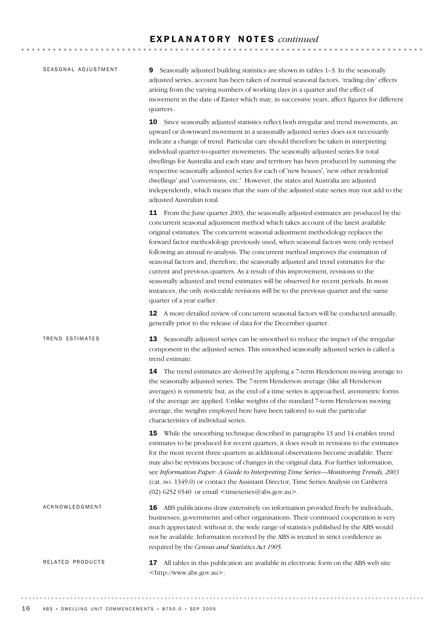#### SEASONAL ADJUSTMENT

9 Seasonally adjusted building statistics are shown in tables 1–3. In the seasonally adjusted series, account has been taken of normal seasonal factors, 'trading day' effects arising from the varying numbers of working days in a quarter and the effect of movement in the date of Easter which may, in successive years, affect figures for different quarters.

10 Since seasonally adjusted statistics reflect both irregular and trend movements, an upward or downward movement in a seasonally adjusted series does not necessarily indicate a change of trend. Particular care should therefore be taken in interpreting individual quarter-to-quarter movements. The seasonally adjusted series for total dwellings for Australia and each state and territory has been produced by summing the respective seasonally adjusted series for each of 'new houses', 'new other residential dwellings' and 'conversions, etc.' However, the states and Australia are adjusted independently, which means that the sum of the adjusted state series may not add to the adjusted Australian total.

11 From the June quarter 2003, the seasonally adjusted estimates are produced by the concurrent seasonal adjustment method which takes account of the latest available original estimates. The concurrent seasonal adjustment methodology replaces the forward factor methodology previously used, when seasonal factors were only revised following an annual re-analysis. The concurrent method improves the estimation of seasonal factors and, therefore, the seasonally adjusted and trend estimates for the current and previous quarters. As a result of this improvement, revisions to the seasonally adjusted and trend estimates will be observed for recent periods. In most instances, the only noticeable revisions will be to the previous quarter and the same quarter of a year earlier.

12 A more detailed review of concurrent seasonal factors will be conducted annually, generally prior to the release of data for the December quarter.

13 Seasonally adjusted series can be smoothed to reduce the impact of the irregular component in the adjusted series. This smoothed seasonally adjusted series is called a trend estimate. 14 The trend estimates are derived by applying a 7-term Henderson moving average to the seasonally adjusted series. The 7-term Henderson average (like all Henderson averages) is symmetric but, as the end of a time series is approached, asymmetric forms TREND ESTIMATES

of the average are applied. Unlike weights of the standard 7-term Henderson moving average, the weights employed here have been tailored to suit the particular characteristics of individual series.

15 While the smoothing technique described in paragraphs 13 and 14 enables trend estimates to be produced for recent quarters, it does result in revisions to the estimates for the most recent three quarters as additional observations become available. There may also be revisions because of changes in the original data. For further information, see *Information Paper: A Guide to Interpreting Time Series—Monitoring Trends, 2003* (cat. no. 1349.0) or contact the Assistant Director, Time Series Analysis on Canberra (02) 6252 6540 or email  $\leq$ timeseries@abs.gov.au>.

16 ABS publications draw extensively on information provided freely by individuals, businesses, governments and other organisations. Their continued cooperation is very much appreciated: without it, the wide range of statistics published by the ABS would not be available. Information received by the ABS is treated in strict confidence as required by the *Census and Statistics Act 1905*. ACKNOWLEDGMENT

**17** All tables in this publication are available in electronic form on the ABS web site <http://www.abs.gov.au>. RELATED PRODUCTS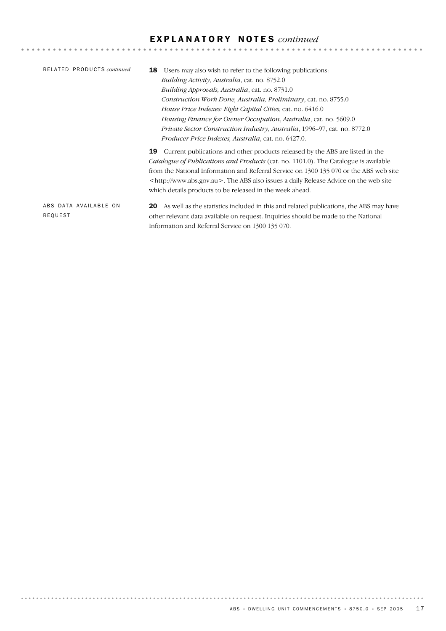# E X P L A N A T O R Y N O T E S *continued*

| RELATED PRODUCTS continued | Users may also wish to refer to the following publications:<br>18                             |
|----------------------------|-----------------------------------------------------------------------------------------------|
|                            | <i>Building Activity, Australia, cat. no. 8752.0</i>                                          |
|                            | <i>Building Approvals, Australia, cat. no. 8731.0</i>                                         |
|                            | Construction Work Done, Australia, Preliminary, cat. no. 8755.0                               |
|                            | <i>House Price Indexes: Eight Capital Cities, cat. no.</i> 6416.0                             |
|                            | Housing Finance for Owner Occupation, Australia, cat. no. 5609.0                              |
|                            | Private Sector Construction Industry, Australia, 1996–97, cat. no. 8772.0                     |
|                            | <i>Producer Price Indexes, Australia, cat. no.</i> 6427.0.                                    |
|                            | Current publications and other products released by the ABS are listed in the<br>19           |
|                            | <i>Catalogue of Publications and Products</i> (cat. no. 1101.0). The Catalogue is available   |
|                            | from the National Information and Referral Service on 1300 135 070 or the ABS web site        |
|                            | <http: www.abs.gov.au="">. The ABS also issues a daily Release Advice on the web site</http:> |
|                            | which details products to be released in the week ahead.                                      |
| ABS DATA AVAILABLE ON      | As well as the statistics included in this and related publications, the ABS may have<br>20   |
| REQUEST                    | other relevant data available on request. Inquiries should be made to the National            |

Information and Referral Service on 1300 135 070.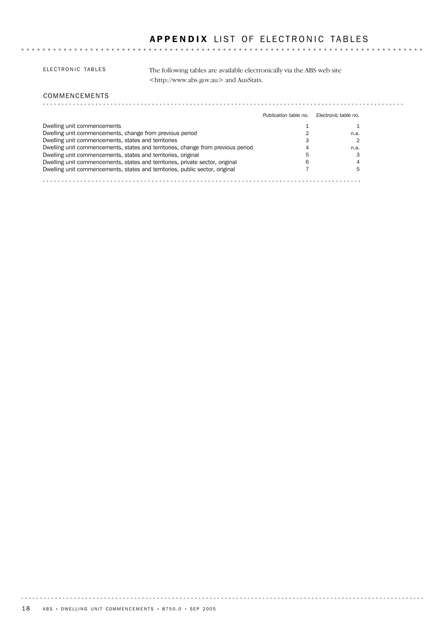# APPENDIX LIST OF ELECTRONIC TABLES

 $\sim$   $\sim$ 

#### ELECTRONIC TABLES

The following tables are available electronically via the ABS web site <http://www.abs.gov.au> and AusStats.

#### COMMENCEMENTS

|                                                                                  | Publication table no. | Electronic table no. |
|----------------------------------------------------------------------------------|-----------------------|----------------------|
| Dwelling unit commencements                                                      |                       |                      |
| Dwelling unit commencements, change from previous period                         |                       | n.a.                 |
| Dwelling unit commencements, states and territories                              |                       |                      |
| Dwelling unit commencements, states and territories, change from previous period |                       | n.a.                 |
| Dwelling unit commencements, states and territories, original                    |                       |                      |
| Dwelling unit commencements, states and territories, private sector, original    | 6                     |                      |
| Dwelling unit commencements, states and territories, public sector, original     |                       |                      |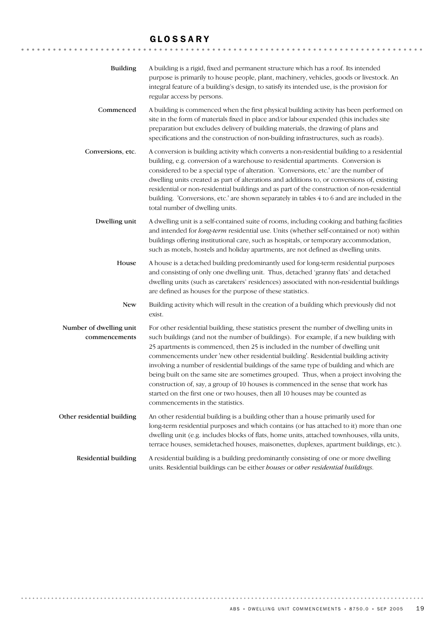# GLOSSARY

| <b>Building</b>                          | A building is a rigid, fixed and permanent structure which has a roof. Its intended<br>purpose is primarily to house people, plant, machinery, vehicles, goods or livestock. An<br>integral feature of a building's design, to satisfy its intended use, is the provision for<br>regular access by persons.                                                                                                                                                                                                                                                                                                                                                                                                                                              |
|------------------------------------------|----------------------------------------------------------------------------------------------------------------------------------------------------------------------------------------------------------------------------------------------------------------------------------------------------------------------------------------------------------------------------------------------------------------------------------------------------------------------------------------------------------------------------------------------------------------------------------------------------------------------------------------------------------------------------------------------------------------------------------------------------------|
| Commenced                                | A building is commenced when the first physical building activity has been performed on<br>site in the form of materials fixed in place and/or labour expended (this includes site<br>preparation but excludes delivery of building materials, the drawing of plans and<br>specifications and the construction of non-building infrastructures, such as roads).                                                                                                                                                                                                                                                                                                                                                                                          |
| Conversions, etc.                        | A conversion is building activity which converts a non-residential building to a residential<br>building, e.g. conversion of a warehouse to residential apartments. Conversion is<br>considered to be a special type of alteration. 'Conversions, etc.' are the number of<br>dwelling units created as part of alterations and additions to, or conversions of, existing<br>residential or non-residential buildings and as part of the construction of non-residential<br>building. 'Conversions, etc.' are shown separately in tables 4 to 6 and are included in the<br>total number of dwelling units.                                                                                                                                                |
| Dwelling unit                            | A dwelling unit is a self-contained suite of rooms, including cooking and bathing facilities<br>and intended for long-term residential use. Units (whether self-contained or not) within<br>buildings offering institutional care, such as hospitals, or temporary accommodation,<br>such as motels, hostels and holiday apartments, are not defined as dwelling units.                                                                                                                                                                                                                                                                                                                                                                                  |
| House                                    | A house is a detached building predominantly used for long-term residential purposes<br>and consisting of only one dwelling unit. Thus, detached 'granny flats' and detached<br>dwelling units (such as caretakers' residences) associated with non-residential buildings<br>are defined as houses for the purpose of these statistics.                                                                                                                                                                                                                                                                                                                                                                                                                  |
| <b>New</b>                               | Building activity which will result in the creation of a building which previously did not<br>exist.                                                                                                                                                                                                                                                                                                                                                                                                                                                                                                                                                                                                                                                     |
| Number of dwelling unit<br>commencements | For other residential building, these statistics present the number of dwelling units in<br>such buildings (and not the number of buildings). For example, if a new building with<br>25 apartments is commenced, then 25 is included in the number of dwelling unit<br>commencements under 'new other residential building'. Residential building activity<br>involving a number of residential buildings of the same type of building and which are<br>being built on the same site are sometimes grouped. Thus, when a project involving the<br>construction of, say, a group of 10 houses is commenced in the sense that work has<br>started on the first one or two houses, then all 10 houses may be counted as<br>commencements in the statistics. |
| Other residential building               | An other residential building is a building other than a house primarily used for<br>long-term residential purposes and which contains (or has attached to it) more than one<br>dwelling unit (e.g. includes blocks of flats, home units, attached townhouses, villa units,<br>terrace houses, semidetached houses, maisonettes, duplexes, apartment buildings, etc.).                                                                                                                                                                                                                                                                                                                                                                                   |
| Residential building                     | A residential building is a building predominantly consisting of one or more dwelling<br>units. Residential buildings can be either houses or other residential buildings.                                                                                                                                                                                                                                                                                                                                                                                                                                                                                                                                                                               |